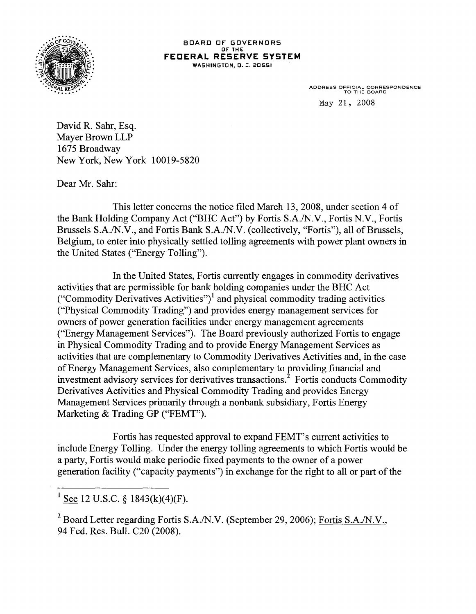

## BOARD OF GOVERNORS OF' THE **FEDERAL RESERVE SYSTEM**  WASHINGTON, 0. C. 20551

ADDRESS OFFICIAL CORRESPONDENCE TO THE BOARD May 21, 2008

David R. Sahr, Esq. Mayer Brown LLP 1675 Broadway New York, New York 10019-5820

Dear Mr. Sahr:

This letter concerns the notice filed March 13, 2008, under section 4 of the Bank Holding Company Act ("BHC Act") by Fortis S.A./N.V., Fortis N.V., Fortis Brussels S.A./N.V., and Fortis Bank S.A./N.V. (collectively, "Fortis"), all of Brussels, Belgium, to enter into physically settled tolling agreements with power plant owners in the United States ("Energy Tolling").

In the United States, Fortis currently engages in commodity derivatives activities that are permissible for bank holding companies under the BHC Act ("Commodity Derivatives Activities")<sup>1</sup> and physical commodity trading activities ("Physical Commodity Trading") and provides energy management services for owners of power generation facilities under energy management agreements ("Energy Management Services"). The Board previously authorized Fortis to engage in Physical Commodity Trading and to provide Energy Management Services as activities that are complementary to Commodity Derivatives Activities and, in the case of Energy Management Services, also complementary to providing financial and investment advisory services for derivatives transactions.<sup>2</sup> Fortis conducts Commodity Derivatives Activities and Physical Commodity Trading and provides Energy Management Services primarily through a nonbank subsidiary, Fortis Energy Marketing & Trading GP ("FEMT").

Fortis has requested approval to expand FEMT's current activities to include Energy Tolling. Under the energy tolling agreements to which Fortis would be a party, Fortis would make periodic fixed payments to the owner of a power generation facility ("capacity payments") in exchange for the right to all or part of the

<sup>1</sup> See 12 U.S.C. § 1843(k)(4)(F).

<sup>2</sup> Board Letter regarding Fortis S.A./N.V. (September 29, 2006); Fortis S.A./N.V., 94 Fed. Res. Bull. C20 (2008).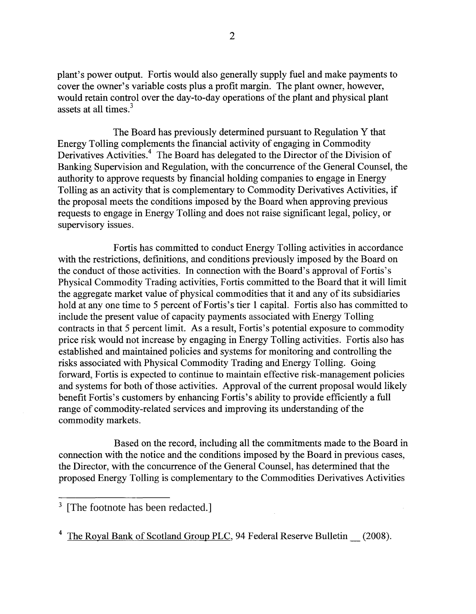plant's power output. Fortis would also generally supply fuel and make payments to cover the owner's variable costs plus a profit margin. The plant owner, however, would retain control over the day-to-day operations of the plant and physical plant assets at all times.<sup>3</sup>

The Board has previously determined pursuant to Regulation Y that Energy Tolling complements the financial activity of engaging in Commodity Derivatives Activities.<sup>4</sup> The Board has delegated to the Director of the Division of Banking Supervision and Regulation, with the concurrence of the General Counsel, the authority to approve requests by financial holding companies to engage in Energy Tolling as an activity that is complementary to Commodity Derivatives Activities, if the proposal meets the conditions imposed by the Board when approving previous requests to engage in Energy Tolling and does not raise significant legal, policy, or supervisory issues.

Fortis has committed to conduct Energy Tolling activities in accordance with the restrictions, definitions, and conditions previously imposed by the Board on the conduct of those activities. In connection with the Board's approval of Fortis's Physical Commodity Trading activities, Fortis committed to the Board that it will limit the aggregate market value of physical commodities that it and any of its subsidiaries hold at any one time to 5 percent of Fortis's tier 1 capital. Fortis also has committed to include the present value of capacity payments associated with Energy Tolling contracts in that 5 percent limit. As a result, Fortis's potential exposure to commodity price risk would not increase by engaging in Energy Tolling activities. Fortis also has established and maintained policies and systems for monitoring and controlling the risks associated with Physical Commodity Trading and Energy Tolling. Going forward, Fortis is expected to continue to maintain effective risk-management policies and systems for both of those activities. Approval of the current proposal would likely benefit Fortis's customers by enhancing Fortis's ability to provide efficiently a full range of commodity-related services and improving its understanding of the commodity markets.

Based on the record, including all the commitments made to the Board in connection with the notice and the conditions imposed by the Board in previous cases, the Director, with the concurrence of the General Counsel, has determined that the proposed Energy Tolling is complementary to the Commodities Derivatives Activities

<sup>4</sup> The Royal Bank of Scotland Group PLC, 94 Federal Reserve Bulletin \_\_ (2008).

 $3$  [The footnote has been redacted.]